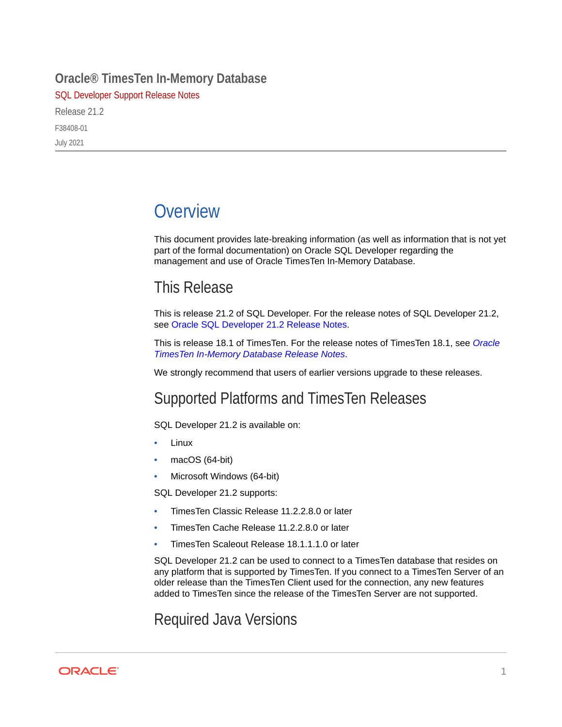#### **Oracle® TimesTen In-Memory Database**

SQL Developer Support Release Notes

Release 21.2 F38408-01 July 2021

# **Overview**

This document provides late-breaking information (as well as information that is not yet part of the formal documentation) on Oracle SQL Developer regarding the management and use of Oracle TimesTen In-Memory Database.

## This Release

This is release 21.2 of SQL Developer. For the release notes of SQL Developer 21.2, see [Oracle SQL Developer 21.2 Release Notes](https://www.oracle.com/tools/sqldev/sqldev-relnotes-21.2.html).

This is release 18.1 of TimesTen. For the release notes of TimesTen 18.1, see *[Oracle](https://www.oracle.com/a/tech/docs/tt181readmelatest.html) [TimesTen In-Memory Database Release Notes](https://www.oracle.com/a/tech/docs/tt181readmelatest.html)*.

We strongly recommend that users of earlier versions upgrade to these releases.

### Supported Platforms and TimesTen Releases

SQL Developer 21.2 is available on:

- Linux
- macOS (64-bit)
- Microsoft Windows (64-bit)

SQL Developer 21.2 supports:

- TimesTen Classic Release 11.2.2.8.0 or later
- TimesTen Cache Release 11.2.2.8.0 or later
- TimesTen Scaleout Release 18.1.1.1.0 or later

SQL Developer 21.2 can be used to connect to a TimesTen database that resides on any platform that is supported by TimesTen. If you connect to a TimesTen Server of an older release than the TimesTen Client used for the connection, any new features added to TimesTen since the release of the TimesTen Server are not supported.

Required Java Versions

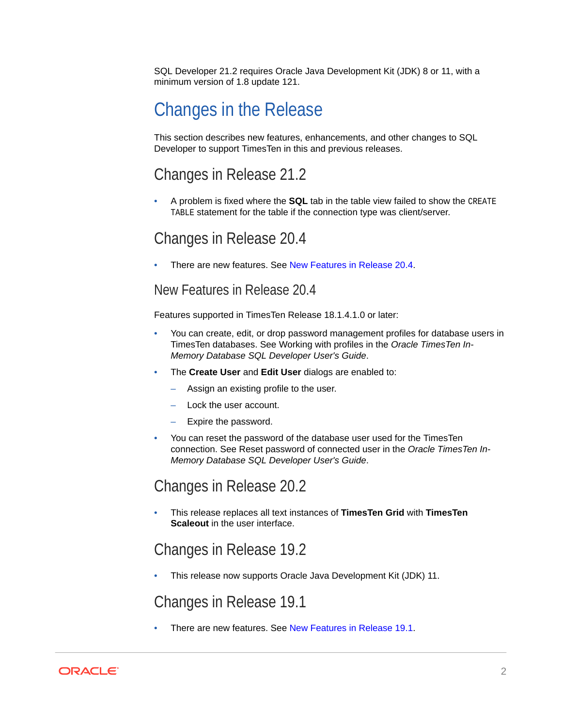SQL Developer 21.2 requires Oracle Java Development Kit (JDK) 8 or 11, with a minimum version of 1.8 update 121.

# Changes in the Release

This section describes new features, enhancements, and other changes to SQL Developer to support TimesTen in this and previous releases.

### Changes in Release 21.2

• A problem is fixed where the **SQL** tab in the table view failed to show the CREATE TABLE statement for the table if the connection type was client/server.

### Changes in Release 20.4

• There are new features. See New Features in Release 20.4.

#### New Features in Release 20.4

Features supported in TimesTen Release 18.1.4.1.0 or later:

- You can create, edit, or drop password management profiles for database users in TimesTen databases. See Working with profiles in the *Oracle TimesTen In-Memory Database SQL Developer User's Guide*.
- The **Create User** and **Edit User** dialogs are enabled to:
	- Assign an existing profile to the user.
	- Lock the user account.
	- Expire the password.
- You can reset the password of the database user used for the TimesTen connection. See Reset password of connected user in the *Oracle TimesTen In-Memory Database SQL Developer User's Guide*.

### Changes in Release 20.2

• This release replaces all text instances of **TimesTen Grid** with **TimesTen Scaleout** in the user interface.

### Changes in Release 19.2

• This release now supports Oracle Java Development Kit (JDK) 11.

### Changes in Release 19.1

• There are new features. See [New Features in Release 19.1](#page-2-0).

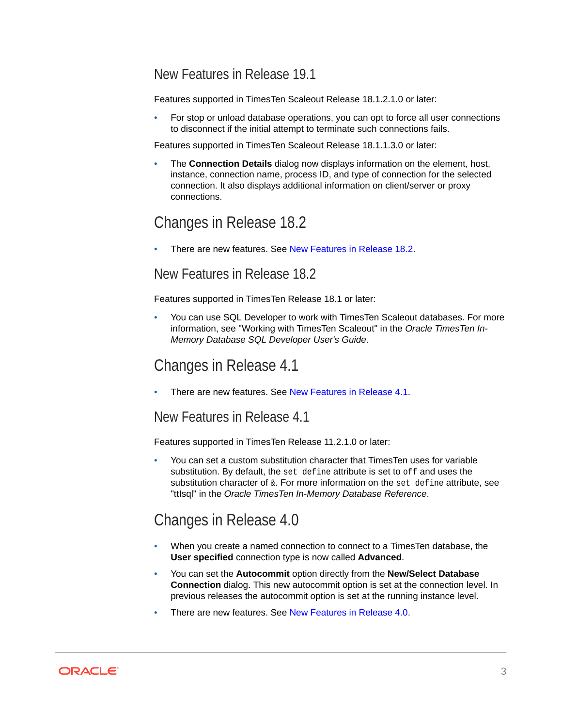### <span id="page-2-0"></span>New Features in Release 19.1

Features supported in TimesTen Scaleout Release 18.1.2.1.0 or later:

• For stop or unload database operations, you can opt to force all user connections to disconnect if the initial attempt to terminate such connections fails.

Features supported in TimesTen Scaleout Release 18.1.1.3.0 or later:

• The **Connection Details** dialog now displays information on the element, host, instance, connection name, process ID, and type of connection for the selected connection. It also displays additional information on client/server or proxy connections.

## Changes in Release 18.2

• There are new features. See New Features in Release 18.2.

#### New Features in Release 18.2

Features supported in TimesTen Release 18.1 or later:

• You can use SQL Developer to work with TimesTen Scaleout databases. For more information, see "Working with TimesTen Scaleout" in the *Oracle TimesTen In-Memory Database SQL Developer User's Guide*.

### Changes in Release 4.1

There are new features. See New Features in Release 4.1.

#### New Features in Release 4.1

Features supported in TimesTen Release 11.2.1.0 or later:

• You can set a custom substitution character that TimesTen uses for variable substitution. By default, the set define attribute is set to off and uses the substitution character of  $\alpha$ . For more information on the set define attribute, see "ttIsql" in the *Oracle TimesTen In-Memory Database Reference*.

### Changes in Release 4.0

- When you create a named connection to connect to a TimesTen database, the **User specified** connection type is now called **Advanced**.
- You can set the **Autocommit** option directly from the **New/Select Database Connection** dialog. This new autocommit option is set at the connection level. In previous releases the autocommit option is set at the running instance level.
- There are new features. See [New Features in Release 4.0](#page-3-0).

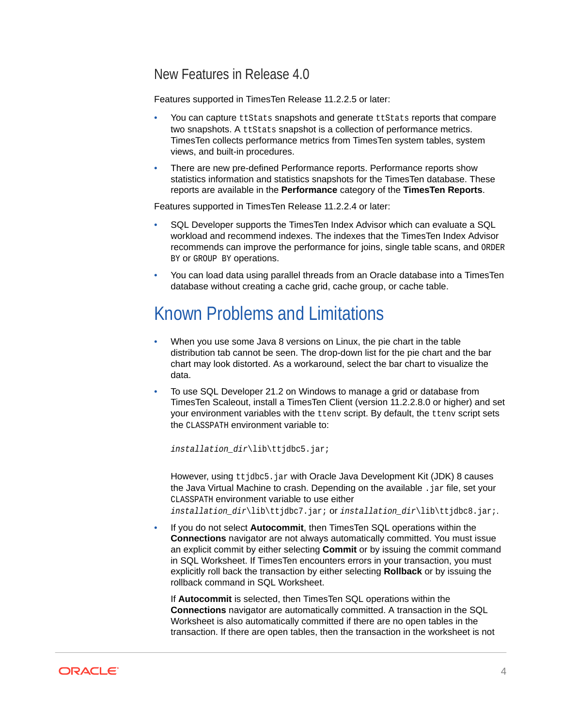#### <span id="page-3-0"></span>New Features in Release 4.0

Features supported in TimesTen Release 11.2.2.5 or later:

- You can capture ttStats snapshots and generate ttStats reports that compare two snapshots. A ttStats snapshot is a collection of performance metrics. TimesTen collects performance metrics from TimesTen system tables, system views, and built-in procedures.
- There are new pre-defined Performance reports. Performance reports show statistics information and statistics snapshots for the TimesTen database. These reports are available in the **Performance** category of the **TimesTen Reports**.

Features supported in TimesTen Release 11.2.2.4 or later:

- SQL Developer supports the TimesTen Index Advisor which can evaluate a SQL workload and recommend indexes. The indexes that the TimesTen Index Advisor recommends can improve the performance for joins, single table scans, and ORDER BY OF GROUP BY OPERATIONS.
- You can load data using parallel threads from an Oracle database into a TimesTen database without creating a cache grid, cache group, or cache table.

# Known Problems and Limitations

- When you use some Java 8 versions on Linux, the pie chart in the table distribution tab cannot be seen. The drop-down list for the pie chart and the bar chart may look distorted. As a workaround, select the bar chart to visualize the data.
- To use SQL Developer 21.2 on Windows to manage a grid or database from TimesTen Scaleout, install a TimesTen Client (version 11.2.2.8.0 or higher) and set your environment variables with the ttenv script. By default, the ttenv script sets the CLASSPATH environment variable to:

installation\_dir\lib\ttjdbc5.jar;

However, using ttjdbc5.jar with Oracle Java Development Kit (JDK) 8 causes the Java Virtual Machine to crash. Depending on the available .jar file, set your CLASSPATH environment variable to use either installation\_dir\lib\ttjdbc7.jar; Or installation\_dir\lib\ttjdbc8.jar;.

• If you do not select **Autocommit**, then TimesTen SQL operations within the **Connections** navigator are not always automatically committed. You must issue an explicit commit by either selecting **Commit** or by issuing the commit command in SQL Worksheet. If TimesTen encounters errors in your transaction, you must explicitly roll back the transaction by either selecting **Rollback** or by issuing the rollback command in SQL Worksheet.

If **Autocommit** is selected, then TimesTen SQL operations within the **Connections** navigator are automatically committed. A transaction in the SQL Worksheet is also automatically committed if there are no open tables in the transaction. If there are open tables, then the transaction in the worksheet is not

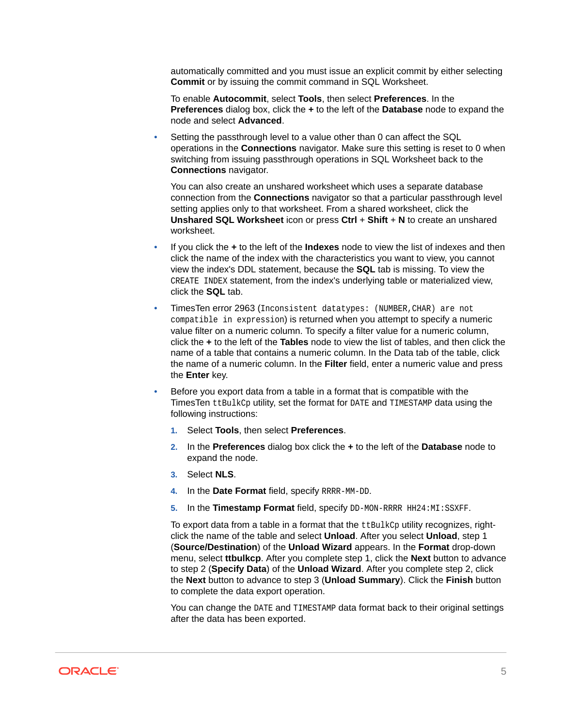automatically committed and you must issue an explicit commit by either selecting **Commit** or by issuing the commit command in SQL Worksheet.

To enable **Autocommit**, select **Tools**, then select **Preferences**. In the **Preferences** dialog box, click the **+** to the left of the **Database** node to expand the node and select **Advanced**.

Setting the passthrough level to a value other than 0 can affect the SQL operations in the **Connections** navigator. Make sure this setting is reset to 0 when switching from issuing passthrough operations in SQL Worksheet back to the **Connections** navigator.

You can also create an unshared worksheet which uses a separate database connection from the **Connections** navigator so that a particular passthrough level setting applies only to that worksheet. From a shared worksheet, click the **Unshared SQL Worksheet** icon or press **Ctrl** + **Shift** + **N** to create an unshared worksheet.

- If you click the **+** to the left of the **Indexes** node to view the list of indexes and then click the name of the index with the characteristics you want to view, you cannot view the index's DDL statement, because the **SQL** tab is missing. To view the CREATE INDEX statement, from the index's underlying table or materialized view, click the **SQL** tab.
- TimesTen error 2963 (Inconsistent datatypes: (NUMBER,CHAR) are not compatible in expression) is returned when you attempt to specify a numeric value filter on a numeric column. To specify a filter value for a numeric column, click the **+** to the left of the **Tables** node to view the list of tables, and then click the name of a table that contains a numeric column. In the Data tab of the table, click the name of a numeric column. In the **Filter** field, enter a numeric value and press the **Enter** key.
- Before you export data from a table in a format that is compatible with the TimesTen ttBulkCp utility, set the format for DATE and TIMESTAMP data using the following instructions:
	- **1.** Select **Tools**, then select **Preferences**.
	- **2.** In the **Preferences** dialog box click the **+** to the left of the **Database** node to expand the node.
	- **3.** Select **NLS**.
	- **4.** In the **Date Format** field, specify RRRR-MM-DD.
	- **5.** In the **Timestamp Format** field, specify DD-MON-RRRR HH24:MI:SSXFF.

To export data from a table in a format that the ttBulkCp utility recognizes, rightclick the name of the table and select **Unload**. After you select **Unload**, step 1 (**Source/Destination**) of the **Unload Wizard** appears. In the **Format** drop-down menu, select **ttbulkcp**. After you complete step 1, click the **Next** button to advance to step 2 (**Specify Data**) of the **Unload Wizard**. After you complete step 2, click the **Next** button to advance to step 3 (**Unload Summary**). Click the **Finish** button to complete the data export operation.

You can change the DATE and TIMESTAMP data format back to their original settings after the data has been exported.